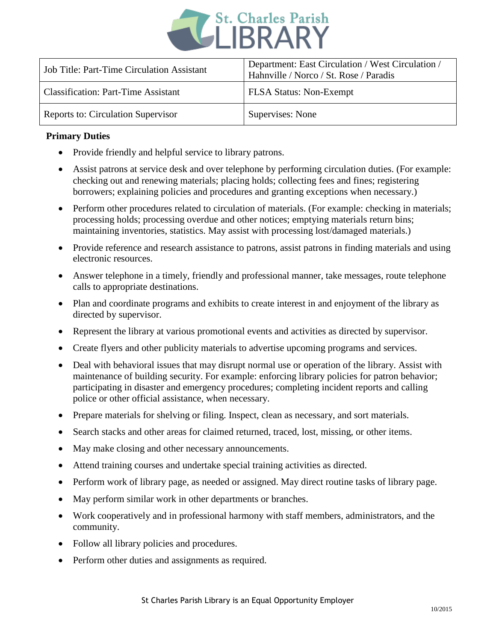

| <b>Job Title: Part-Time Circulation Assistant</b> | Department: East Circulation / West Circulation /<br>Hahnville / Norco / St. Rose / Paradis |
|---------------------------------------------------|---------------------------------------------------------------------------------------------|
| <b>Classification: Part-Time Assistant</b>        | <b>FLSA Status: Non-Exempt</b>                                                              |
| Reports to: Circulation Supervisor                | Supervises: None                                                                            |

## **Primary Duties**

- Provide friendly and helpful service to library patrons.
- Assist patrons at service desk and over telephone by performing circulation duties. (For example: checking out and renewing materials; placing holds; collecting fees and fines; registering borrowers; explaining policies and procedures and granting exceptions when necessary.)
- Perform other procedures related to circulation of materials. (For example: checking in materials; processing holds; processing overdue and other notices; emptying materials return bins; maintaining inventories, statistics. May assist with processing lost/damaged materials.)
- Provide reference and research assistance to patrons, assist patrons in finding materials and using electronic resources.
- Answer telephone in a timely, friendly and professional manner, take messages, route telephone calls to appropriate destinations.
- Plan and coordinate programs and exhibits to create interest in and enjoyment of the library as directed by supervisor.
- Represent the library at various promotional events and activities as directed by supervisor.
- Create flyers and other publicity materials to advertise upcoming programs and services.
- Deal with behavioral issues that may disrupt normal use or operation of the library. Assist with maintenance of building security. For example: enforcing library policies for patron behavior; participating in disaster and emergency procedures; completing incident reports and calling police or other official assistance, when necessary.
- Prepare materials for shelving or filing. Inspect, clean as necessary, and sort materials.
- Search stacks and other areas for claimed returned, traced, lost, missing, or other items.
- May make closing and other necessary announcements.
- Attend training courses and undertake special training activities as directed.
- Perform work of library page, as needed or assigned. May direct routine tasks of library page.
- May perform similar work in other departments or branches.
- Work cooperatively and in professional harmony with staff members, administrators, and the community.
- Follow all library policies and procedures.
- Perform other duties and assignments as required.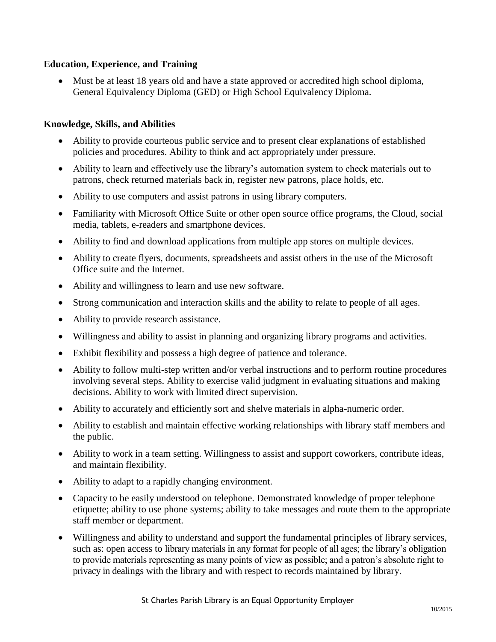## **Education, Experience, and Training**

 Must be at least 18 years old and have a state approved or accredited high school diploma, General Equivalency Diploma (GED) or High School Equivalency Diploma.

## **Knowledge, Skills, and Abilities**

- Ability to provide courteous public service and to present clear explanations of established policies and procedures. Ability to think and act appropriately under pressure.
- Ability to learn and effectively use the library's automation system to check materials out to patrons, check returned materials back in, register new patrons, place holds, etc.
- Ability to use computers and assist patrons in using library computers.
- Familiarity with Microsoft Office Suite or other open source office programs, the Cloud, social media, tablets, e-readers and smartphone devices.
- Ability to find and download applications from multiple app stores on multiple devices.
- Ability to create flyers, documents, spreadsheets and assist others in the use of the Microsoft Office suite and the Internet.
- Ability and willingness to learn and use new software.
- Strong communication and interaction skills and the ability to relate to people of all ages.
- Ability to provide research assistance.
- Willingness and ability to assist in planning and organizing library programs and activities.
- Exhibit flexibility and possess a high degree of patience and tolerance.
- Ability to follow multi-step written and/or verbal instructions and to perform routine procedures involving several steps. Ability to exercise valid judgment in evaluating situations and making decisions. Ability to work with limited direct supervision.
- Ability to accurately and efficiently sort and shelve materials in alpha-numeric order.
- Ability to establish and maintain effective working relationships with library staff members and the public.
- Ability to work in a team setting. Willingness to assist and support coworkers, contribute ideas, and maintain flexibility.
- Ability to adapt to a rapidly changing environment.
- Capacity to be easily understood on telephone. Demonstrated knowledge of proper telephone etiquette; ability to use phone systems; ability to take messages and route them to the appropriate staff member or department.
- Willingness and ability to understand and support the fundamental principles of library services, such as: open access to library materials in any format for people of all ages; the library's obligation to provide materials representing as many points of view as possible; and a patron's absolute right to privacy in dealings with the library and with respect to records maintained by library.